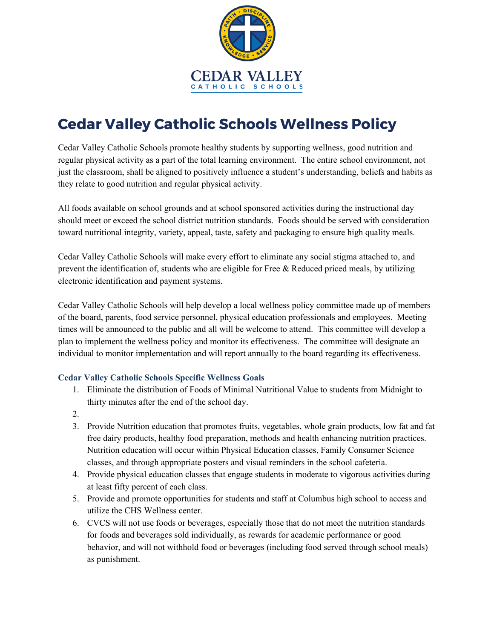

## **Cedar Valley Catholic Schools Wellness Policy**

Cedar Valley Catholic Schools promote healthy students by supporting wellness, good nutrition and regular physical activity as a part of the total learning environment. The entire school environment, not just the classroom, shall be aligned to positively influence a student's understanding, beliefs and habits as they relate to good nutrition and regular physical activity.

All foods available on school grounds and at school sponsored activities during the instructional day should meet or exceed the school district nutrition standards. Foods should be served with consideration toward nutritional integrity, variety, appeal, taste, safety and packaging to ensure high quality meals.

Cedar Valley Catholic Schools will make every effort to eliminate any social stigma attached to, and prevent the identification of, students who are eligible for Free & Reduced priced meals, by utilizing electronic identification and payment systems.

Cedar Valley Catholic Schools will help develop a local wellness policy committee made up of members of the board, parents, food service personnel, physical education professionals and employees. Meeting times will be announced to the public and all will be welcome to attend. This committee will develop a plan to implement the wellness policy and monitor its effectiveness. The committee will designate an individual to monitor implementation and will report annually to the board regarding its effectiveness.

## **Cedar Valley Catholic Schools Specific Wellness Goals**

- 1. Eliminate the distribution of Foods of Minimal Nutritional Value to students from Midnight to thirty minutes after the end of the school day.
- 2.
- 3. Provide Nutrition education that promotes fruits, vegetables, whole grain products, low fat and fat free dairy products, healthy food preparation, methods and health enhancing nutrition practices. Nutrition education will occur within Physical Education classes, Family Consumer Science classes, and through appropriate posters and visual reminders in the school cafeteria.
- 4. Provide physical education classes that engage students in moderate to vigorous activities during at least fifty percent of each class.
- 5. Provide and promote opportunities for students and staff at Columbus high school to access and utilize the CHS Wellness center.
- 6. CVCS will not use foods or beverages, especially those that do not meet the nutrition standards for foods and beverages sold individually, as rewards for academic performance or good behavior, and will not withhold food or beverages (including food served through school meals) as punishment.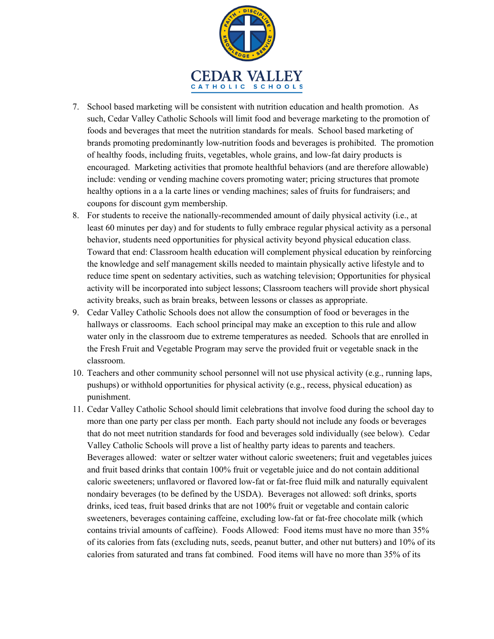

- 7. School based marketing will be consistent with nutrition education and health promotion. As such, Cedar Valley Catholic Schools will limit food and beverage marketing to the promotion of foods and beverages that meet the nutrition standards for meals. School based marketing of brands promoting predominantly low-nutrition foods and beverages is prohibited. The promotion of healthy foods, including fruits, vegetables, whole grains, and low-fat dairy products is encouraged. Marketing activities that promote healthful behaviors (and are therefore allowable) include: vending or vending machine covers promoting water; pricing structures that promote healthy options in a a la carte lines or vending machines; sales of fruits for fundraisers; and coupons for discount gym membership.
- 8. For students to receive the nationally-recommended amount of daily physical activity (i.e., at least 60 minutes per day) and for students to fully embrace regular physical activity as a personal behavior, students need opportunities for physical activity beyond physical education class. Toward that end: Classroom health education will complement physical education by reinforcing the knowledge and self management skills needed to maintain physically active lifestyle and to reduce time spent on sedentary activities, such as watching television; Opportunities for physical activity will be incorporated into subject lessons; Classroom teachers will provide short physical activity breaks, such as brain breaks, between lessons or classes as appropriate.
- 9. Cedar Valley Catholic Schools does not allow the consumption of food or beverages in the hallways or classrooms. Each school principal may make an exception to this rule and allow water only in the classroom due to extreme temperatures as needed. Schools that are enrolled in the Fresh Fruit and Vegetable Program may serve the provided fruit or vegetable snack in the classroom.
- 10. Teachers and other community school personnel will not use physical activity (e.g., running laps, pushups) or withhold opportunities for physical activity (e.g., recess, physical education) as punishment.
- 11. Cedar Valley Catholic School should limit celebrations that involve food during the school day to more than one party per class per month. Each party should not include any foods or beverages that do not meet nutrition standards for food and beverages sold individually (see below). Cedar Valley Catholic Schools will prove a list of healthy party ideas to parents and teachers. Beverages allowed: water or seltzer water without caloric sweeteners; fruit and vegetables juices and fruit based drinks that contain 100% fruit or vegetable juice and do not contain additional caloric sweeteners; unflavored or flavored low-fat or fat-free fluid milk and naturally equivalent nondairy beverages (to be defined by the USDA). Beverages not allowed: soft drinks, sports drinks, iced teas, fruit based drinks that are not 100% fruit or vegetable and contain caloric sweeteners, beverages containing caffeine, excluding low-fat or fat-free chocolate milk (which contains trivial amounts of caffeine). Foods Allowed: Food items must have no more than 35% of its calories from fats (excluding nuts, seeds, peanut butter, and other nut butters) and 10% of its calories from saturated and trans fat combined. Food items will have no more than 35% of its